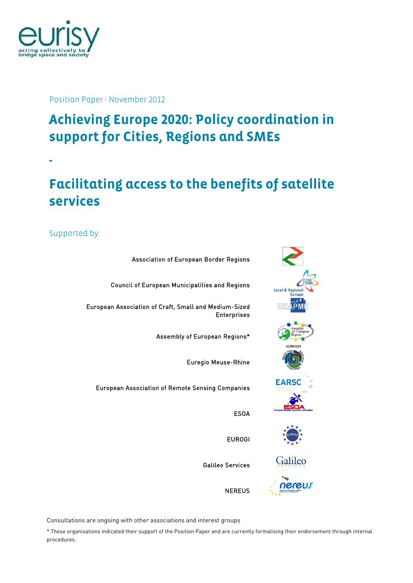

**-** 

Position Paper - November 2012

## **Achieving Europe 2020: Policy coordination in support for Cities, Regions and SMEs**

**Facilitating access to the benefits of satellite services** 

Supported by:

Association of European Border Regions Council of European Municipalities and Regions European Association of Craft, Small and Medium-Sized Enterprises Assembly of European Regions\* Euregio Meuse-Rhine European Association of Remote Sensing Companies ESOA EUROGI

Falileo nereul

**EARSC** 

Galileo Services

**NEREUS** 

Consultations are ongoing with other associations and interest groups

\* These organisations indicated their support of the Position Paper and are currently formalising their endorsement through internal procedures.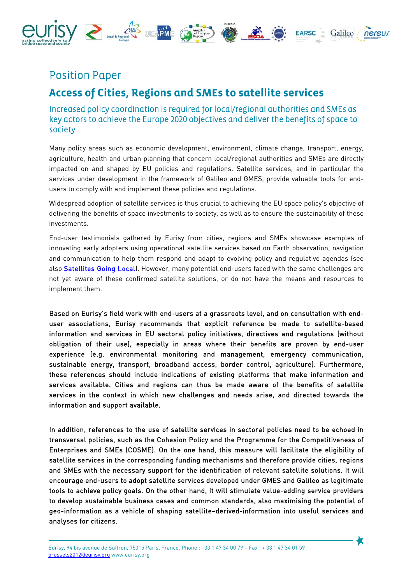

## Position Paper

## **Access of Cities, Regions and SMEs to satellite services**

## Increased policy coordination is required for local/regional authorities and SMEs as key actors to achieve the Europe 2020 objectives and deliver the benefits of space to society

Many policy areas such as economic development, environment, climate change, transport, energy, agriculture, health and urban planning that concern local/regional authorities and SMEs are directly impacted on and shaped by EU policies and regulations. Satellite services, and in particular the services under development in the framework of Galileo and GMES, provide valuable tools for endusers to comply with and implement these policies and regulations.

Widespread adoption of satellite services is thus crucial to achieving the EU space policy's objective of delivering the benefits of space investments to society, as well as to ensure the sustainability of these investments.

End-user testimonials gathered by Eurisy from cities, regions and SMEs showcase examples of innovating early adopters using operational satellite services based on Earth observation, navigation and communication to help them respond and adapt to evolving policy and regulative agendas (see also **Satellites Going Local**). However, many potential end-users faced with the same challenges are not yet aware of these confirmed satellite solutions, or do not have the means and resources to implement them.

Based on Eurisy's field work with end-users at a grassroots level, and on consultation with enduser associations, Eurisy recommends that explicit reference be made to satellite-based information and services in EU sectoral policy initiatives, directives and regulations (without obligation of their use), especially in areas where their benefits are proven by end-user experience (e.g. environmental monitoring and management, emergency communication, sustainable energy, transport, broadband access, border control, agriculture). Furthermore, these references should include indications of existing platforms that make information and services available. Cities and regions can thus be made aware of the benefits of satellite services in the context in which new challenges and needs arise, and directed towards the information and support available.

In addition, references to the use of satellite services in sectoral policies need to be echoed in transversal policies, such as the Cohesion Policy and the Programme for the Competitiveness of Enterprises and SMEs (COSME). On the one hand, this measure will facilitate the eligibility of satellite services in the corresponding funding mechanisms and therefore provide cities, regions and SMEs with the necessary support for the identification of relevant satellite solutions. It will encourage end-users to adopt satellite services developed under GMES and Galileo as legitimate tools to achieve policy goals. On the other hand, it will stimulate value-adding service providers to develop sustainable business cases and common standards, also maximising the potential of geo-information as a vehicle of shaping satellite–derived-information into useful services and analyses for citizens.

≮